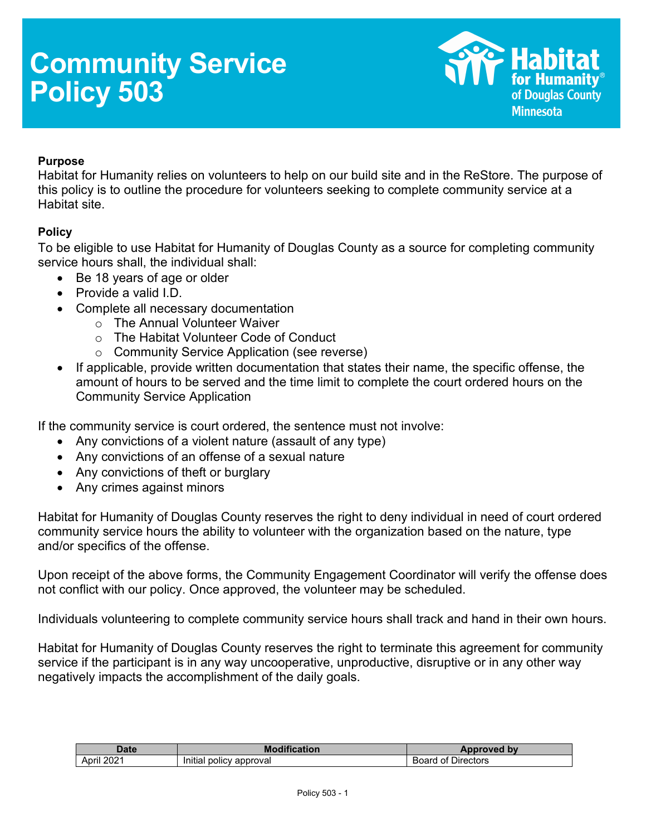# **Community Service Policy 503**



### **Purpose**

Habitat for Humanity relies on volunteers to help on our build site and in the ReStore. The purpose of this policy is to outline the procedure for volunteers seeking to complete community service at a Habitat site.

### **Policy**

To be eligible to use Habitat for Humanity of Douglas County as a source for completing community service hours shall, the individual shall:

- Be 18 years of age or older
- Provide a valid I.D.
- Complete all necessary documentation
	- o The Annual Volunteer Waiver
	- o The Habitat Volunteer Code of Conduct
	- o Community Service Application (see reverse)
- If applicable, provide written documentation that states their name, the specific offense, the amount of hours to be served and the time limit to complete the court ordered hours on the Community Service Application

If the community service is court ordered, the sentence must not involve:

- Any convictions of a violent nature (assault of any type)
- Any convictions of an offense of a sexual nature
- Any convictions of theft or burglary
- Any crimes against minors

Habitat for Humanity of Douglas County reserves the right to deny individual in need of court ordered community service hours the ability to volunteer with the organization based on the nature, type and/or specifics of the offense.

Upon receipt of the above forms, the Community Engagement Coordinator will verify the offense does not conflict with our policy. Once approved, the volunteer may be scheduled.

Individuals volunteering to complete community service hours shall track and hand in their own hours.

Habitat for Humanity of Douglas County reserves the right to terminate this agreement for community service if the participant is in any way uncooperative, unproductive, disruptive or in any other way negatively impacts the accomplishment of the daily goals.

| $\n  1$<br>Dale         | 11.00<br>M<br>.                                    | by<br><b>Ven</b>                 |
|-------------------------|----------------------------------------------------|----------------------------------|
| ∘מ∩<br><br>April<br>ZUZ | .<br>approval<br>$\sim$ $\sim$<br>. DOIICV<br>nuar | <b>Uirectors</b><br>nt<br>$\sim$ |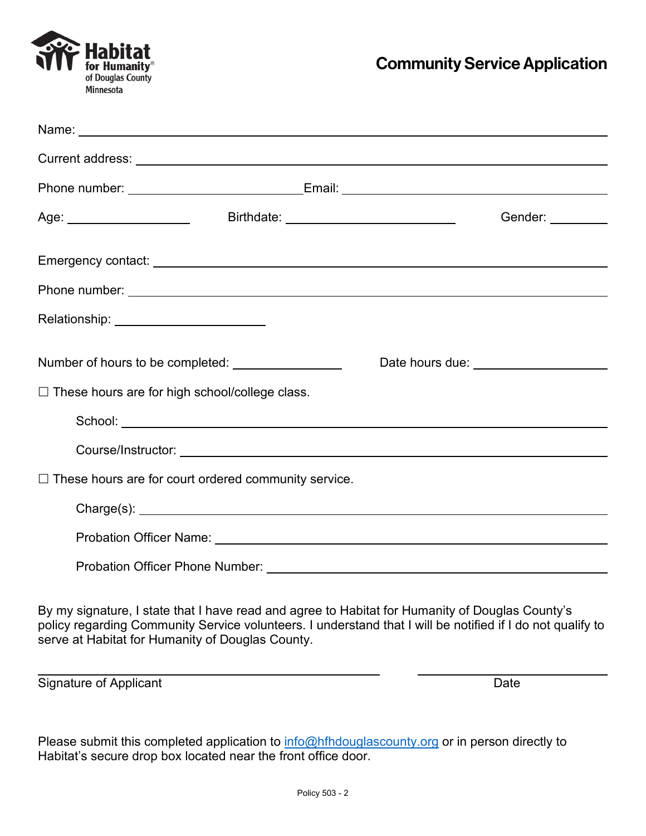

|                                                  |                                                             | Gender: <b>Example</b>                                                                                                                                                                                                               |
|--------------------------------------------------|-------------------------------------------------------------|--------------------------------------------------------------------------------------------------------------------------------------------------------------------------------------------------------------------------------------|
|                                                  |                                                             |                                                                                                                                                                                                                                      |
|                                                  |                                                             |                                                                                                                                                                                                                                      |
| Relationship: ________________________           |                                                             |                                                                                                                                                                                                                                      |
|                                                  |                                                             | Date hours due: <u>New York and the set of the set of the set of the set of the set of the set of the set of the set of the set of the set of the set of the set of the set of the set of the set of the set of the set of the s</u> |
| □ These hours are for high school/college class. |                                                             |                                                                                                                                                                                                                                      |
|                                                  |                                                             |                                                                                                                                                                                                                                      |
|                                                  |                                                             |                                                                                                                                                                                                                                      |
|                                                  | $\Box$ These hours are for court ordered community service. |                                                                                                                                                                                                                                      |
|                                                  |                                                             |                                                                                                                                                                                                                                      |
|                                                  |                                                             |                                                                                                                                                                                                                                      |
|                                                  |                                                             |                                                                                                                                                                                                                                      |
|                                                  |                                                             |                                                                                                                                                                                                                                      |

By my signature, I state that I have read and agree to Habitat for Humanity of Douglas County's policy regarding Community Service volunteers. I understand that I will be notified if I do not qualify to serve at Habitat for Humanity of Douglas County.

Signature of Applicant Date Date Date

Please submit this completed application to  $info@hfhdouglascounty.org$  or in person directly to Habitat's secure drop box located near the front office door.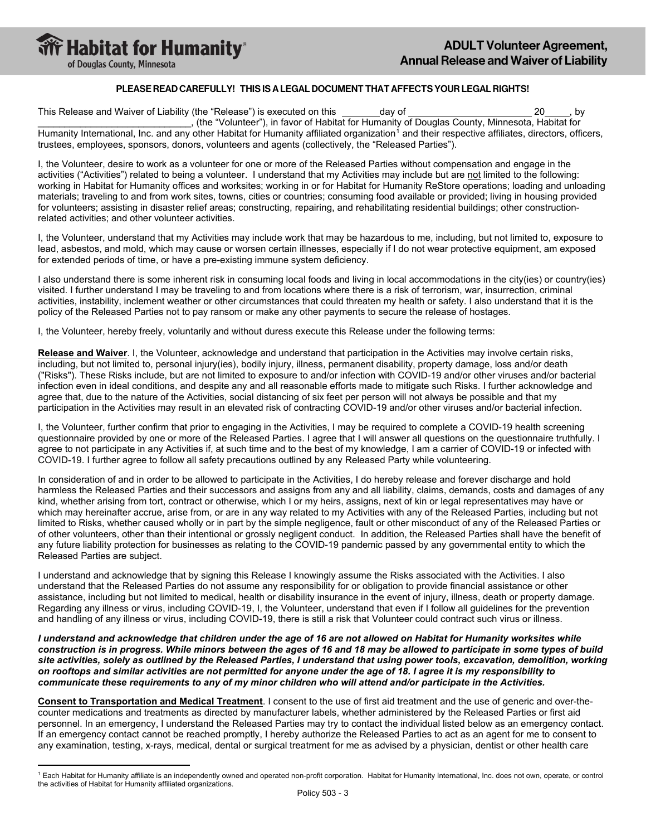

#### PLEASE READ CAREFULLY! THIS IS A LEGAL DOCUMENT THAT AFFECTS YOUR LEGAL RIGHTS!

This Release and Waiver of Liability (the "Release") is executed on this day of 20 , by \_\_\_\_\_\_\_\_\_\_\_\_\_\_\_\_\_\_\_\_\_\_\_\_\_\_\_\_\_, (the "Volunteer"), in favor of Habitat for Humanity of Douglas County, Minnesota, Habitat for Humanity International, Inc. and any other Habitat for Humanity affiliated organization<sup>[1](#page-2-0)</sup> and their respective affiliates, directors, officers, trustees, employees, sponsors, donors, volunteers and agents (collectively, the "Released Parties").

I, the Volunteer, desire to work as a volunteer for one or more of the Released Parties without compensation and engage in the activities ("Activities") related to being a volunteer. I understand that my Activities may include but are not limited to the following: working in Habitat for Humanity offices and worksites; working in or for Habitat for Humanity ReStore operations; loading and unloading materials; traveling to and from work sites, towns, cities or countries; consuming food available or provided; living in housing provided for volunteers; assisting in disaster relief areas; constructing, repairing, and rehabilitating residential buildings; other constructionrelated activities; and other volunteer activities.

I, the Volunteer, understand that my Activities may include work that may be hazardous to me, including, but not limited to, exposure to lead, asbestos, and mold, which may cause or worsen certain illnesses, especially if I do not wear protective equipment, am exposed for extended periods of time, or have a pre-existing immune system deficiency.

I also understand there is some inherent risk in consuming local foods and living in local accommodations in the city(ies) or country(ies) visited. I further understand I may be traveling to and from locations where there is a risk of terrorism, war, insurrection, criminal activities, instability, inclement weather or other circumstances that could threaten my health or safety. I also understand that it is the policy of the Released Parties not to pay ransom or make any other payments to secure the release of hostages.

I, the Volunteer, hereby freely, voluntarily and without duress execute this Release under the following terms:

**Release and Waiver**. I, the Volunteer, acknowledge and understand that participation in the Activities may involve certain risks, including, but not limited to, personal injury(ies), bodily injury, illness, permanent disability, property damage, loss and/or death ("Risks"). These Risks include, but are not limited to exposure to and/or infection with COVID-19 and/or other viruses and/or bacterial infection even in ideal conditions, and despite any and all reasonable efforts made to mitigate such Risks. I further acknowledge and agree that, due to the nature of the Activities, social distancing of six feet per person will not always be possible and that my participation in the Activities may result in an elevated risk of contracting COVID-19 and/or other viruses and/or bacterial infection.

I, the Volunteer, further confirm that prior to engaging in the Activities, I may be required to complete a COVID-19 health screening questionnaire provided by one or more of the Released Parties. I agree that I will answer all questions on the questionnaire truthfully. I agree to not participate in any Activities if, at such time and to the best of my knowledge, I am a carrier of COVID-19 or infected with COVID-19. I further agree to follow all safety precautions outlined by any Released Party while volunteering.

In consideration of and in order to be allowed to participate in the Activities, I do hereby release and forever discharge and hold harmless the Released Parties and their successors and assigns from any and all liability, claims, demands, costs and damages of any kind, whether arising from tort, contract or otherwise, which I or my heirs, assigns, next of kin or legal representatives may have or which may hereinafter accrue, arise from, or are in any way related to my Activities with any of the Released Parties, including but not limited to Risks, whether caused wholly or in part by the simple negligence, fault or other misconduct of any of the Released Parties or of other volunteers, other than their intentional or grossly negligent conduct. In addition, the Released Parties shall have the benefit of any future liability protection for businesses as relating to the COVID-19 pandemic passed by any governmental entity to which the Released Parties are subject.

I understand and acknowledge that by signing this Release I knowingly assume the Risks associated with the Activities. I also understand that the Released Parties do not assume any responsibility for or obligation to provide financial assistance or other assistance, including but not limited to medical, health or disability insurance in the event of injury, illness, death or property damage. Regarding any illness or virus, including COVID-19, I, the Volunteer, understand that even if I follow all guidelines for the prevention and handling of any illness or virus, including COVID-19, there is still a risk that Volunteer could contract such virus or illness.

*I understand and acknowledge that children under the age of 16 are not allowed on Habitat for Humanity worksites while construction is in progress. While minors between the ages of 16 and 18 may be allowed to participate in some types of build site activities, solely as outlined by the Released Parties, I understand that using power tools, excavation, demolition, working on rooftops and similar activities are not permitted for anyone under the age of 18. I agree it is my responsibility to communicate these requirements to any of my minor children who will attend and/or participate in the Activities.*

**Consent to Transportation and Medical Treatment**. I consent to the use of first aid treatment and the use of generic and over-thecounter medications and treatments as directed by manufacturer labels, whether administered by the Released Parties or first aid personnel. In an emergency, I understand the Released Parties may try to contact the individual listed below as an emergency contact. If an emergency contact cannot be reached promptly, I hereby authorize the Released Parties to act as an agent for me to consent to any examination, testing, x-rays, medical, dental or surgical treatment for me as advised by a physician, dentist or other health care

<span id="page-2-0"></span><sup>&</sup>lt;sup>1</sup> Each Habitat for Humanity affiliate is an independently owned and operated non-profit corporation. Habitat for Humanity International, Inc. does not own, operate, or control the activities of Habitat for Humanity affiliated organizations.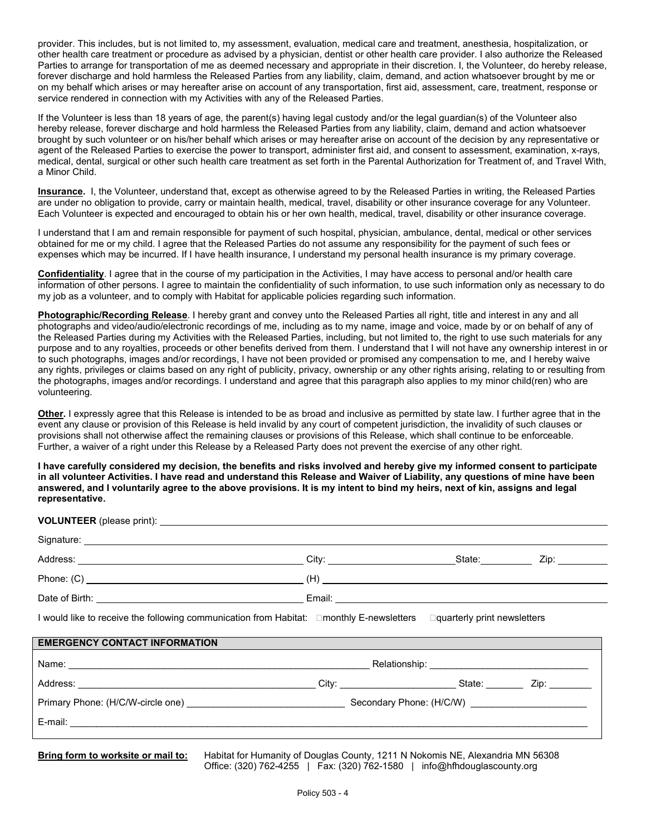provider. This includes, but is not limited to, my assessment, evaluation, medical care and treatment, anesthesia, hospitalization, or other health care treatment or procedure as advised by a physician, dentist or other health care provider. I also authorize the Released Parties to arrange for transportation of me as deemed necessary and appropriate in their discretion. I, the Volunteer, do hereby release, forever discharge and hold harmless the Released Parties from any liability, claim, demand, and action whatsoever brought by me or on my behalf which arises or may hereafter arise on account of any transportation, first aid, assessment, care, treatment, response or service rendered in connection with my Activities with any of the Released Parties.

If the Volunteer is less than 18 years of age, the parent(s) having legal custody and/or the legal guardian(s) of the Volunteer also hereby release, forever discharge and hold harmless the Released Parties from any liability, claim, demand and action whatsoever brought by such volunteer or on his/her behalf which arises or may hereafter arise on account of the decision by any representative or agent of the Released Parties to exercise the power to transport, administer first aid, and consent to assessment, examination, x-rays, medical, dental, surgical or other such health care treatment as set forth in the Parental Authorization for Treatment of, and Travel With, a Minor Child.

**Insurance.** I, the Volunteer, understand that, except as otherwise agreed to by the Released Parties in writing, the Released Parties are under no obligation to provide, carry or maintain health, medical, travel, disability or other insurance coverage for any Volunteer. Each Volunteer is expected and encouraged to obtain his or her own health, medical, travel, disability or other insurance coverage.

I understand that I am and remain responsible for payment of such hospital, physician, ambulance, dental, medical or other services obtained for me or my child. I agree that the Released Parties do not assume any responsibility for the payment of such fees or expenses which may be incurred. If I have health insurance, I understand my personal health insurance is my primary coverage.

**Confidentiality**. I agree that in the course of my participation in the Activities, I may have access to personal and/or health care information of other persons. I agree to maintain the confidentiality of such information, to use such information only as necessary to do my job as a volunteer, and to comply with Habitat for applicable policies regarding such information.

**Photographic/Recording Release**. I hereby grant and convey unto the Released Parties all right, title and interest in any and all photographs and video/audio/electronic recordings of me, including as to my name, image and voice, made by or on behalf of any of the Released Parties during my Activities with the Released Parties, including, but not limited to, the right to use such materials for any purpose and to any royalties, proceeds or other benefits derived from them. I understand that I will not have any ownership interest in or to such photographs, images and/or recordings, I have not been provided or promised any compensation to me, and I hereby waive any rights, privileges or claims based on any right of publicity, privacy, ownership or any other rights arising, relating to or resulting from the photographs, images and/or recordings. I understand and agree that this paragraph also applies to my minor child(ren) who are volunteering.

**Other.** I expressly agree that this Release is intended to be as broad and inclusive as permitted by state law. I further agree that in the event any clause or provision of this Release is held invalid by any court of competent jurisdiction, the invalidity of such clauses or provisions shall not otherwise affect the remaining clauses or provisions of this Release, which shall continue to be enforceable. Further, a waiver of a right under this Release by a Released Party does not prevent the exercise of any other right.

**I have carefully considered my decision, the benefits and risks involved and hereby give my informed consent to participate in all volunteer Activities. I have read and understand this Release and Waiver of Liability, any questions of mine have been answered, and I voluntarily agree to the above provisions. It is my intent to bind my heirs, next of kin, assigns and legal representative.**

| I would like to receive the following communication from Habitat: □monthly E-newsletters □quarterly print newsletters                                                                                                          |  |  |  |  |  |  |
|--------------------------------------------------------------------------------------------------------------------------------------------------------------------------------------------------------------------------------|--|--|--|--|--|--|
| <b>EMERGENCY CONTACT INFORMATION</b>                                                                                                                                                                                           |  |  |  |  |  |  |
|                                                                                                                                                                                                                                |  |  |  |  |  |  |
| Address: Zip: 2010. 2010. 2010. 2010. 2010. 2010. 2010. 2010. 2010. 2010. 2010. 2010. 2010. 2010. 2010. 2010. 2010. 2010. 2010. 2010. 2010. 2010. 2010. 2010. 2010. 2010. 2010. 2010. 2010. 2010. 2010. 2010. 2010. 2010. 2010 |  |  |  |  |  |  |
|                                                                                                                                                                                                                                |  |  |  |  |  |  |
|                                                                                                                                                                                                                                |  |  |  |  |  |  |
|                                                                                                                                                                                                                                |  |  |  |  |  |  |

**Bring form to worksite or mail to:** Habitat for Humanity of Douglas County, 1211 N Nokomis NE, Alexandria MN 56308 Office: (320) 762-4255 | Fax: (320) 762-1580 | info@hfhdouglascounty.org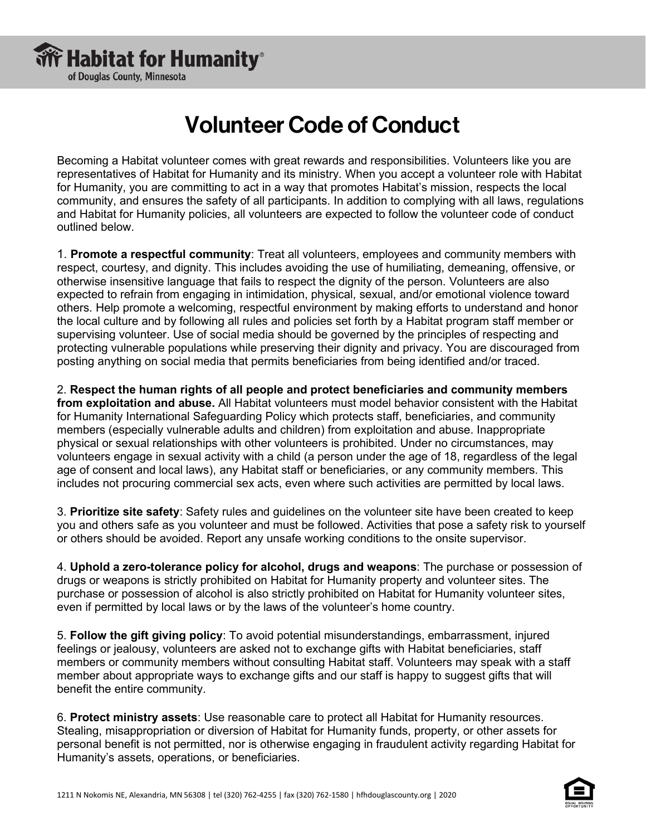

## Volunteer Code of Conduct

Becoming a Habitat volunteer comes with great rewards and responsibilities. Volunteers like you are representatives of Habitat for Humanity and its ministry. When you accept a volunteer role with Habitat for Humanity, you are committing to act in a way that promotes Habitat's mission, respects the local community, and ensures the safety of all participants. In addition to complying with all laws, regulations and Habitat for Humanity policies, all volunteers are expected to follow the volunteer code of conduct outlined below.

1. **Promote a respectful community**: Treat all volunteers, employees and community members with respect, courtesy, and dignity. This includes avoiding the use of humiliating, demeaning, offensive, or otherwise insensitive language that fails to respect the dignity of the person. Volunteers are also expected to refrain from engaging in intimidation, physical, sexual, and/or emotional violence toward others. Help promote a welcoming, respectful environment by making efforts to understand and honor the local culture and by following all rules and policies set forth by a Habitat program staff member or supervising volunteer. Use of social media should be governed by the principles of respecting and protecting vulnerable populations while preserving their dignity and privacy. You are discouraged from posting anything on social media that permits beneficiaries from being identified and/or traced.

2. **Respect the human rights of all people and protect beneficiaries and community members from exploitation and abuse.** All Habitat volunteers must model behavior consistent with the Habitat for Humanity International Safeguarding Policy which protects staff, beneficiaries, and community members (especially vulnerable adults and children) from exploitation and abuse. Inappropriate physical or sexual relationships with other volunteers is prohibited. Under no circumstances, may volunteers engage in sexual activity with a child (a person under the age of 18, regardless of the legal age of consent and local laws), any Habitat staff or beneficiaries, or any community members. This includes not procuring commercial sex acts, even where such activities are permitted by local laws.

3. **Prioritize site safety**: Safety rules and guidelines on the volunteer site have been created to keep you and others safe as you volunteer and must be followed. Activities that pose a safety risk to yourself or others should be avoided. Report any unsafe working conditions to the onsite supervisor.

4. **Uphold a zero-tolerance policy for alcohol, drugs and weapons**: The purchase or possession of drugs or weapons is strictly prohibited on Habitat for Humanity property and volunteer sites. The purchase or possession of alcohol is also strictly prohibited on Habitat for Humanity volunteer sites, even if permitted by local laws or by the laws of the volunteer's home country.

5. **Follow the gift giving policy**: To avoid potential misunderstandings, embarrassment, injured feelings or jealousy, volunteers are asked not to exchange gifts with Habitat beneficiaries, staff members or community members without consulting Habitat staff. Volunteers may speak with a staff member about appropriate ways to exchange gifts and our staff is happy to suggest gifts that will benefit the entire community.

6. **Protect ministry assets**: Use reasonable care to protect all Habitat for Humanity resources. Stealing, misappropriation or diversion of Habitat for Humanity funds, property, or other assets for personal benefit is not permitted, nor is otherwise engaging in fraudulent activity regarding Habitat for Humanity's assets, operations, or beneficiaries.

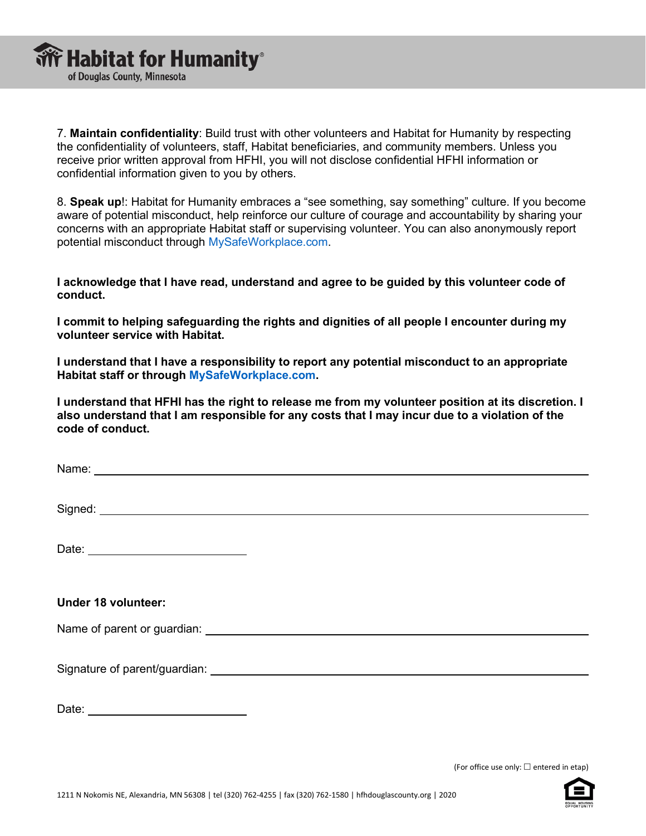7. **Maintain confidentiality**: Build trust with other volunteers and Habitat for Humanity by respecting the confidentiality of volunteers, staff, Habitat beneficiaries, and community members. Unless you receive prior written approval from HFHI, you will not disclose confidential HFHI information or confidential information given to you by others.

8. **Speak up**!: Habitat for Humanity embraces a "see something, say something" culture. If you become aware of potential misconduct, help reinforce our culture of courage and accountability by sharing your concerns with an appropriate Habitat staff or supervising volunteer. You can also anonymously report potential misconduct through MySafeWorkplace.com.

**I acknowledge that I have read, understand and agree to be guided by this volunteer code of conduct.** 

**I commit to helping safeguarding the rights and dignities of all people I encounter during my volunteer service with Habitat.** 

**I understand that I have a responsibility to report any potential misconduct to an appropriate Habitat staff or through MySafeWorkplace.com.** 

**I understand that HFHI has the right to release me from my volunteer position at its discretion. I also understand that I am responsible for any costs that I may incur due to a violation of the code of conduct.** 

Name:

Signed: the state of the state of the state of the state of the state of the state of the state of the state of the state of the state of the state of the state of the state of the state of the state of the state of the st

Date:

### **Under 18 volunteer:**

Name of parent or guardian:

Signature of parent/guardian:

Date: **Date: Date: Date: Date: Date: Date: Date: Date: Date: Date: Date: Date: Date: Date: Date: Date: Date: Date: Date: Date: Date: Date: Date: Date: Date: Date: Date:**